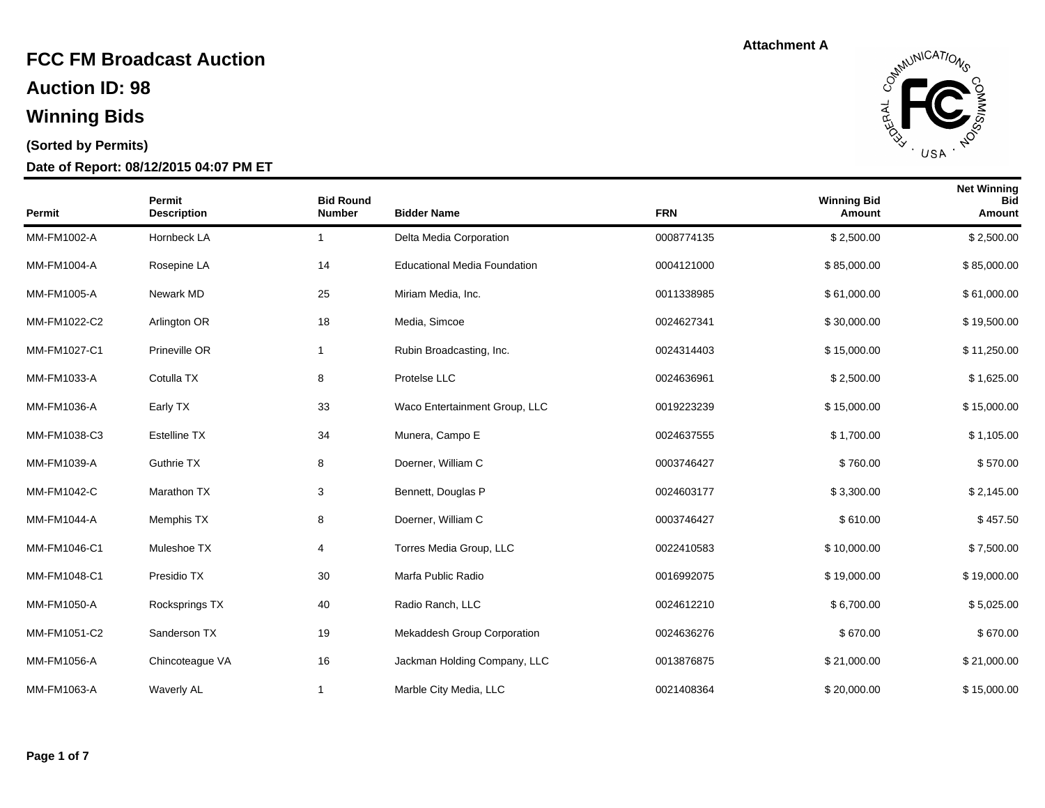**Auction ID: 98**

## **Winning Bids**

#### **(Sorted by Permits)**

#### **Date of Report: 08/12/2015 04:07 PM ET**



| <b>Permit</b> | Permit<br><b>Description</b> | <b>Bid Round</b><br><b>Number</b> | <b>Bidder Name</b>                  | <b>FRN</b> | <b>Winning Bid</b><br>Amount | <b>Net Winning</b><br><b>Bid</b><br>Amount |
|---------------|------------------------------|-----------------------------------|-------------------------------------|------------|------------------------------|--------------------------------------------|
| MM-FM1002-A   | Hornbeck LA                  | $\mathbf{1}$                      | Delta Media Corporation             | 0008774135 | \$2,500.00                   | \$2,500.00                                 |
| MM-FM1004-A   | Rosepine LA                  | 14                                | <b>Educational Media Foundation</b> | 0004121000 | \$85,000.00                  | \$85,000.00                                |
| MM-FM1005-A   | Newark MD                    | 25                                | Miriam Media, Inc.                  | 0011338985 | \$61,000.00                  | \$61,000.00                                |
| MM-FM1022-C2  | Arlington OR                 | 18                                | Media, Simcoe                       | 0024627341 | \$30,000.00                  | \$19,500.00                                |
| MM-FM1027-C1  | Prineville OR                | $\mathbf{1}$                      | Rubin Broadcasting, Inc.            | 0024314403 | \$15,000.00                  | \$11,250.00                                |
| MM-FM1033-A   | Cotulla TX                   | 8                                 | Protelse LLC                        | 0024636961 | \$2,500.00                   | \$1,625.00                                 |
| MM-FM1036-A   | Early TX                     | 33                                | Waco Entertainment Group, LLC       | 0019223239 | \$15,000.00                  | \$15,000.00                                |
| MM-FM1038-C3  | <b>Estelline TX</b>          | 34                                | Munera, Campo E                     | 0024637555 | \$1,700.00                   | \$1,105.00                                 |
| MM-FM1039-A   | <b>Guthrie TX</b>            | 8                                 | Doerner, William C                  | 0003746427 | \$760.00                     | \$570.00                                   |
| MM-FM1042-C   | Marathon TX                  | 3                                 | Bennett, Douglas P                  | 0024603177 | \$3,300.00                   | \$2,145.00                                 |
| MM-FM1044-A   | Memphis TX                   | 8                                 | Doerner, William C                  | 0003746427 | \$610.00                     | \$457.50                                   |
| MM-FM1046-C1  | Muleshoe TX                  | 4                                 | Torres Media Group, LLC             | 0022410583 | \$10,000.00                  | \$7,500.00                                 |
| MM-FM1048-C1  | Presidio TX                  | 30                                | Marfa Public Radio                  | 0016992075 | \$19,000.00                  | \$19,000.00                                |
| MM-FM1050-A   | Rocksprings TX               | 40                                | Radio Ranch, LLC                    | 0024612210 | \$6,700.00                   | \$5,025.00                                 |
| MM-FM1051-C2  | Sanderson TX                 | 19                                | Mekaddesh Group Corporation         | 0024636276 | \$670.00                     | \$670.00                                   |
| MM-FM1056-A   | Chincoteague VA              | 16                                | Jackman Holding Company, LLC        | 0013876875 | \$21,000.00                  | \$21,000.00                                |
| MM-FM1063-A   | <b>Waverly AL</b>            | 1                                 | Marble City Media, LLC              | 0021408364 | \$20,000.00                  | \$15,000.00                                |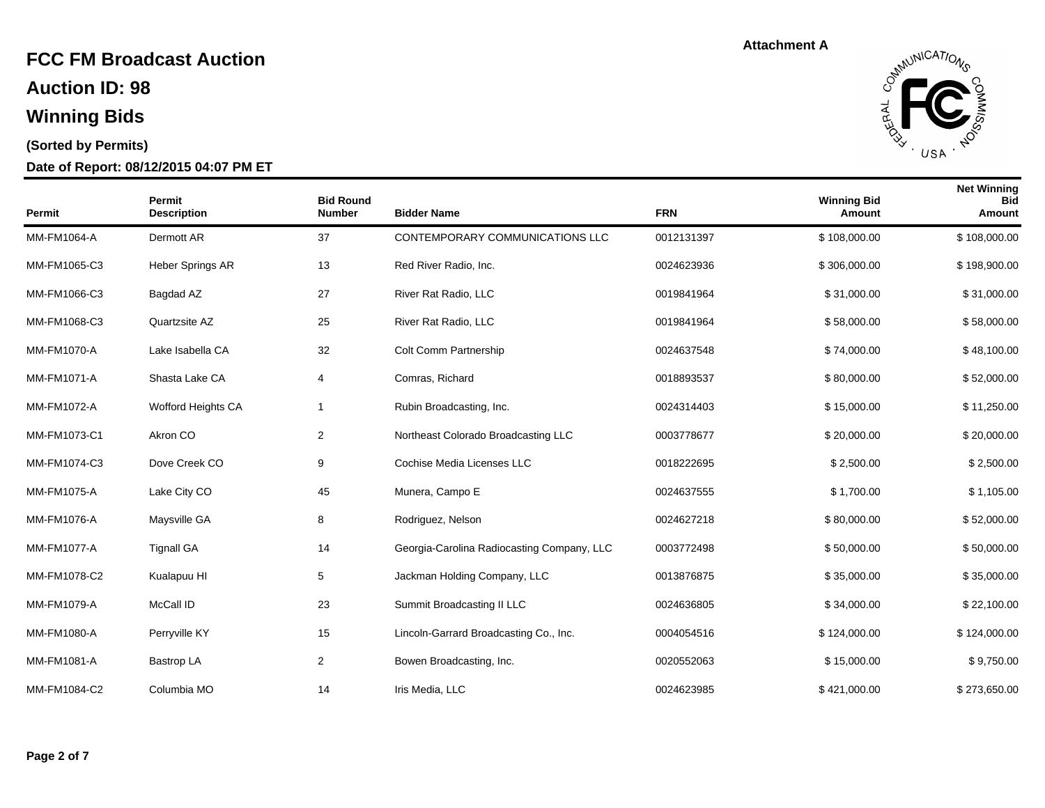**Auction ID: 98**

## **Winning Bids**

#### **(Sorted by Permits)**

#### **Date of Report: 08/12/2015 04:07 PM ET**



| <b>Permit</b> | Permit<br><b>Description</b> | <b>Bid Round</b><br><b>Number</b> | <b>Bidder Name</b>                         | <b>FRN</b> | <b>Winning Bid</b><br>Amount | <b>Net Winning</b><br><b>Bid</b><br>Amount |
|---------------|------------------------------|-----------------------------------|--------------------------------------------|------------|------------------------------|--------------------------------------------|
| MM-FM1064-A   | Dermott AR                   | 37                                | CONTEMPORARY COMMUNICATIONS LLC            | 0012131397 | \$108,000.00                 | \$108,000.00                               |
| MM-FM1065-C3  | Heber Springs AR             | 13                                | Red River Radio, Inc.                      | 0024623936 | \$306,000.00                 | \$198,900.00                               |
| MM-FM1066-C3  | Bagdad AZ                    | 27                                | River Rat Radio, LLC                       | 0019841964 | \$31,000.00                  | \$31,000.00                                |
| MM-FM1068-C3  | Quartzsite AZ                | 25                                | River Rat Radio, LLC                       | 0019841964 | \$58,000.00                  | \$58,000.00                                |
| MM-FM1070-A   | Lake Isabella CA             | 32                                | Colt Comm Partnership                      | 0024637548 | \$74,000.00                  | \$48,100.00                                |
| MM-FM1071-A   | Shasta Lake CA               | 4                                 | Comras, Richard                            | 0018893537 | \$80,000.00                  | \$52,000.00                                |
| MM-FM1072-A   | Wofford Heights CA           | 1                                 | Rubin Broadcasting, Inc.                   | 0024314403 | \$15,000.00                  | \$11,250.00                                |
| MM-FM1073-C1  | Akron CO                     | 2                                 | Northeast Colorado Broadcasting LLC        | 0003778677 | \$20,000.00                  | \$20,000.00                                |
| MM-FM1074-C3  | Dove Creek CO                | 9                                 | Cochise Media Licenses LLC                 | 0018222695 | \$2,500.00                   | \$2,500.00                                 |
| MM-FM1075-A   | Lake City CO                 | 45                                | Munera, Campo E                            | 0024637555 | \$1,700.00                   | \$1,105.00                                 |
| MM-FM1076-A   | Maysville GA                 | 8                                 | Rodriguez, Nelson                          | 0024627218 | \$80,000.00                  | \$52,000.00                                |
| MM-FM1077-A   | <b>Tignall GA</b>            | 14                                | Georgia-Carolina Radiocasting Company, LLC | 0003772498 | \$50,000.00                  | \$50,000.00                                |
| MM-FM1078-C2  | Kualapuu HI                  | 5                                 | Jackman Holding Company, LLC               | 0013876875 | \$35,000.00                  | \$35,000.00                                |
| MM-FM1079-A   | McCall ID                    | 23                                | Summit Broadcasting II LLC                 | 0024636805 | \$34,000.00                  | \$22,100.00                                |
| MM-FM1080-A   | Perryville KY                | 15                                | Lincoln-Garrard Broadcasting Co., Inc.     | 0004054516 | \$124,000.00                 | \$124,000.00                               |
| MM-FM1081-A   | <b>Bastrop LA</b>            | 2                                 | Bowen Broadcasting, Inc.                   | 0020552063 | \$15,000.00                  | \$9,750.00                                 |
| MM-FM1084-C2  | Columbia MO                  | 14                                | Iris Media, LLC                            | 0024623985 | \$421,000.00                 | \$273,650.00                               |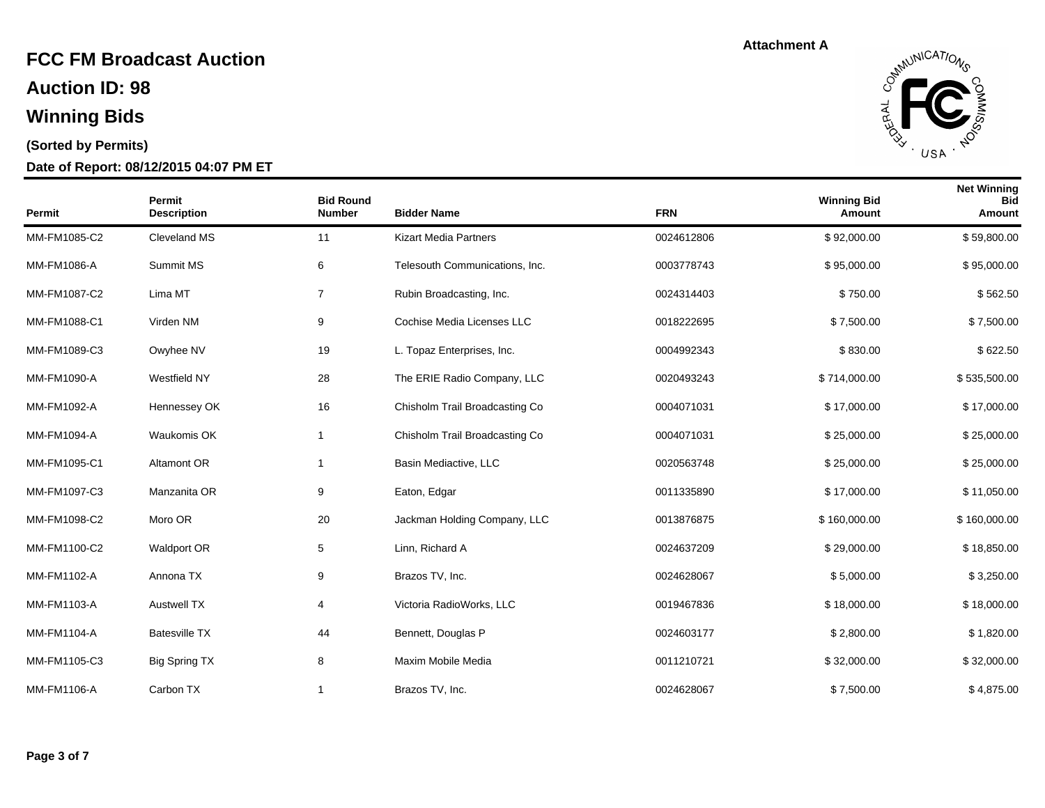**Auction ID: 98**

## **Winning Bids**

#### **(Sorted by Permits)**

#### **Date of Report: 08/12/2015 04:07 PM ET**



| Permit       | Permit<br><b>Description</b> | <b>Bid Round</b><br><b>Number</b> | <b>Bidder Name</b>             | <b>FRN</b> | <b>Winning Bid</b><br>Amount | <b>Net Winning</b><br><b>Bid</b><br>Amount |
|--------------|------------------------------|-----------------------------------|--------------------------------|------------|------------------------------|--------------------------------------------|
| MM-FM1085-C2 | Cleveland MS                 | 11                                | <b>Kizart Media Partners</b>   | 0024612806 | \$92,000.00                  | \$59,800.00                                |
| MM-FM1086-A  | Summit MS                    | 6                                 | Telesouth Communications, Inc. | 0003778743 | \$95,000.00                  | \$95,000.00                                |
| MM-FM1087-C2 | Lima MT                      | $\overline{7}$                    | Rubin Broadcasting, Inc.       | 0024314403 | \$750.00                     | \$562.50                                   |
| MM-FM1088-C1 | Virden NM                    | 9                                 | Cochise Media Licenses LLC     | 0018222695 | \$7,500.00                   | \$7,500.00                                 |
| MM-FM1089-C3 | Owyhee NV                    | 19                                | L. Topaz Enterprises, Inc.     | 0004992343 | \$830.00                     | \$622.50                                   |
| MM-FM1090-A  | Westfield NY                 | 28                                | The ERIE Radio Company, LLC    | 0020493243 | \$714,000.00                 | \$535,500.00                               |
| MM-FM1092-A  | Hennessey OK                 | 16                                | Chisholm Trail Broadcasting Co | 0004071031 | \$17,000.00                  | \$17,000.00                                |
| MM-FM1094-A  | Waukomis OK                  | -1                                | Chisholm Trail Broadcasting Co | 0004071031 | \$25,000.00                  | \$25,000.00                                |
| MM-FM1095-C1 | Altamont OR                  | $\overline{1}$                    | Basin Mediactive, LLC          | 0020563748 | \$25,000.00                  | \$25,000.00                                |
| MM-FM1097-C3 | Manzanita OR                 | 9                                 | Eaton, Edgar                   | 0011335890 | \$17,000.00                  | \$11,050.00                                |
| MM-FM1098-C2 | Moro OR                      | 20                                | Jackman Holding Company, LLC   | 0013876875 | \$160,000.00                 | \$160,000.00                               |
| MM-FM1100-C2 | Waldport OR                  | 5                                 | Linn, Richard A                | 0024637209 | \$29,000.00                  | \$18,850.00                                |
| MM-FM1102-A  | Annona TX                    | 9                                 | Brazos TV, Inc.                | 0024628067 | \$5,000.00                   | \$3,250.00                                 |
| MM-FM1103-A  | <b>Austwell TX</b>           | 4                                 | Victoria RadioWorks, LLC       | 0019467836 | \$18,000.00                  | \$18,000.00                                |
| MM-FM1104-A  | <b>Batesville TX</b>         | 44                                | Bennett, Douglas P             | 0024603177 | \$2,800.00                   | \$1,820.00                                 |
| MM-FM1105-C3 | <b>Big Spring TX</b>         | 8                                 | Maxim Mobile Media             | 0011210721 | \$32,000.00                  | \$32,000.00                                |
| MM-FM1106-A  | Carbon TX                    | $\mathbf 1$                       | Brazos TV, Inc.                | 0024628067 | \$7,500.00                   | \$4,875.00                                 |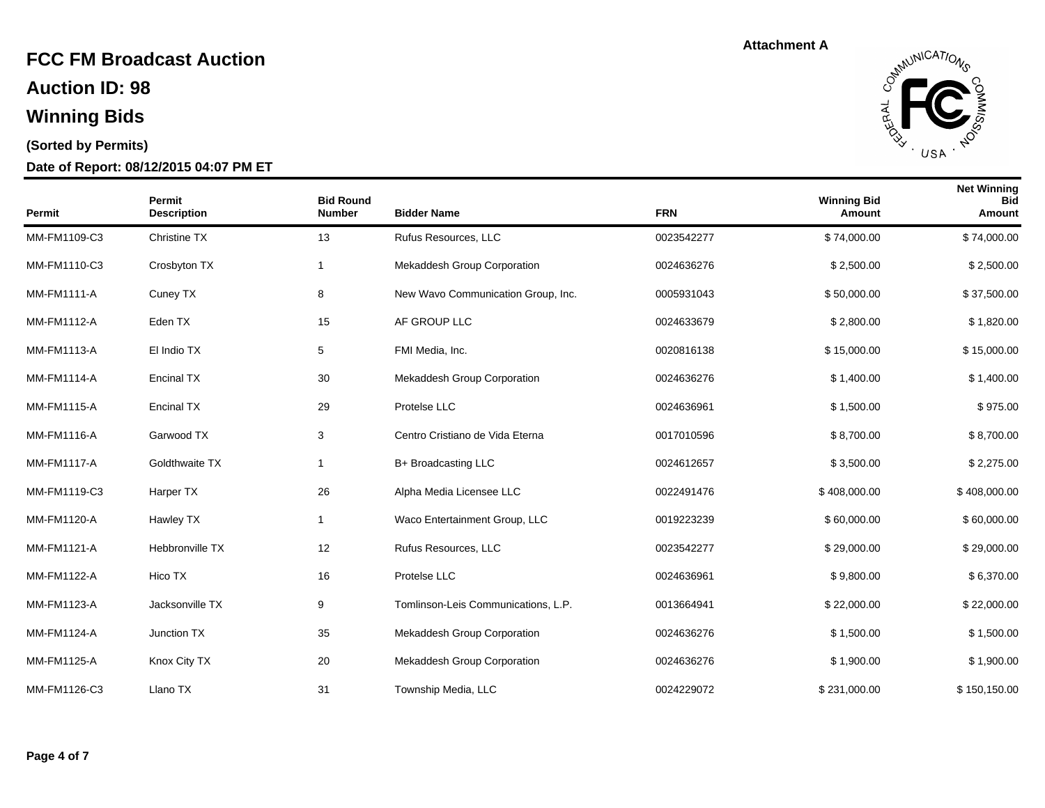**Auction ID: 98**

## **Winning Bids**

#### **(Sorted by Permits)**

#### **Date of Report: 08/12/2015 04:07 PM ET**



| Permit             | Permit<br><b>Description</b> | <b>Bid Round</b><br><b>Number</b> | <b>Bidder Name</b>                  | <b>FRN</b> | <b>Winning Bid</b><br>Amount | <b>Net Winning</b><br><b>Bid</b><br>Amount |
|--------------------|------------------------------|-----------------------------------|-------------------------------------|------------|------------------------------|--------------------------------------------|
| MM-FM1109-C3       | Christine TX                 | 13                                | Rufus Resources, LLC                | 0023542277 | \$74,000.00                  | \$74,000.00                                |
| MM-FM1110-C3       | Crosbyton TX                 | -1                                | Mekaddesh Group Corporation         | 0024636276 | \$2,500.00                   | \$2,500.00                                 |
| <b>MM-FM1111-A</b> | Cuney TX                     | 8                                 | New Wavo Communication Group, Inc.  | 0005931043 | \$50,000.00                  | \$37,500.00                                |
| MM-FM1112-A        | Eden TX                      | 15                                | AF GROUP LLC                        | 0024633679 | \$2,800.00                   | \$1,820.00                                 |
| MM-FM1113-A        | El Indio TX                  | 5                                 | FMI Media, Inc.                     | 0020816138 | \$15,000.00                  | \$15,000.00                                |
| MM-FM1114-A        | <b>Encinal TX</b>            | 30                                | Mekaddesh Group Corporation         | 0024636276 | \$1,400.00                   | \$1,400.00                                 |
| MM-FM1115-A        | <b>Encinal TX</b>            | 29                                | Protelse LLC                        | 0024636961 | \$1,500.00                   | \$975.00                                   |
| <b>MM-FM1116-A</b> | Garwood TX                   | 3                                 | Centro Cristiano de Vida Eterna     | 0017010596 | \$8,700.00                   | \$8,700.00                                 |
| MM-FM1117-A        | Goldthwaite TX               | $\overline{1}$                    | B+ Broadcasting LLC                 | 0024612657 | \$3,500.00                   | \$2,275.00                                 |
| MM-FM1119-C3       | Harper TX                    | 26                                | Alpha Media Licensee LLC            | 0022491476 | \$408,000.00                 | \$408,000.00                               |
| MM-FM1120-A        | Hawley TX                    | $\overline{1}$                    | Waco Entertainment Group, LLC       | 0019223239 | \$60,000.00                  | \$60,000.00                                |
| MM-FM1121-A        | Hebbronville TX              | 12                                | Rufus Resources, LLC                | 0023542277 | \$29,000.00                  | \$29,000.00                                |
| MM-FM1122-A        | Hico TX                      | 16                                | Protelse LLC                        | 0024636961 | \$9,800.00                   | \$6,370.00                                 |
| MM-FM1123-A        | Jacksonville TX              | 9                                 | Tomlinson-Leis Communications, L.P. | 0013664941 | \$22,000.00                  | \$22,000.00                                |
| MM-FM1124-A        | Junction TX                  | 35                                | Mekaddesh Group Corporation         | 0024636276 | \$1,500.00                   | \$1,500.00                                 |
| MM-FM1125-A        | Knox City TX                 | 20                                | Mekaddesh Group Corporation         | 0024636276 | \$1,900.00                   | \$1,900.00                                 |
| MM-FM1126-C3       | Llano TX                     | 31                                | Township Media, LLC                 | 0024229072 | \$231,000.00                 | \$150,150.00                               |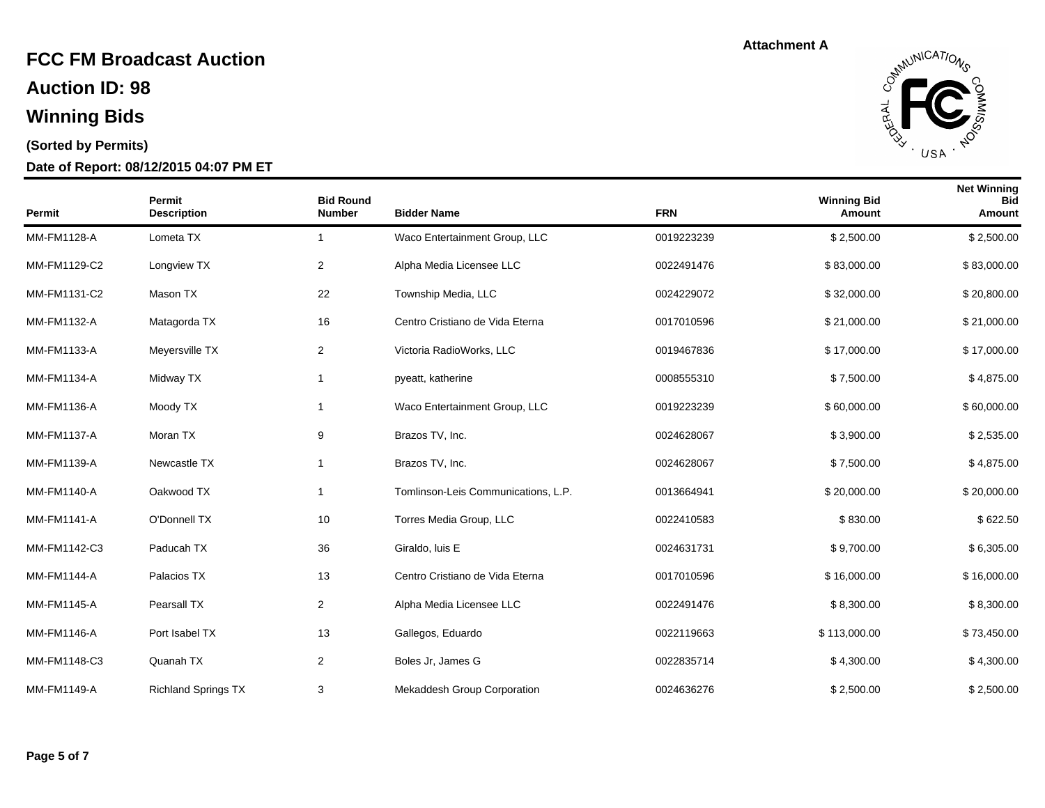**Auction ID: 98**

## **Winning Bids**

#### **(Sorted by Permits)**

#### **Date of Report: 08/12/2015 04:07 PM ET**



| <b>Permit</b>      | Permit<br><b>Description</b> | <b>Bid Round</b><br><b>Number</b> | <b>Bidder Name</b>                  | <b>FRN</b> | <b>Winning Bid</b><br>Amount | <b>Net Winning</b><br><b>Bid</b><br>Amount |
|--------------------|------------------------------|-----------------------------------|-------------------------------------|------------|------------------------------|--------------------------------------------|
| MM-FM1128-A        | Lometa TX                    | 1                                 | Waco Entertainment Group, LLC       | 0019223239 | \$2,500.00                   | \$2,500.00                                 |
| MM-FM1129-C2       | Longview TX                  | 2                                 | Alpha Media Licensee LLC            | 0022491476 | \$83,000.00                  | \$83,000.00                                |
| MM-FM1131-C2       | Mason TX                     | 22                                | Township Media, LLC                 | 0024229072 | \$32,000.00                  | \$20,800.00                                |
| MM-FM1132-A        | Matagorda TX                 | 16                                | Centro Cristiano de Vida Eterna     | 0017010596 | \$21,000.00                  | \$21,000.00                                |
| MM-FM1133-A        | Meyersville TX               | $\overline{2}$                    | Victoria RadioWorks, LLC            | 0019467836 | \$17,000.00                  | \$17,000.00                                |
| MM-FM1134-A        | Midway TX                    | 1                                 | pyeatt, katherine                   | 0008555310 | \$7,500.00                   | \$4,875.00                                 |
| MM-FM1136-A        | Moody TX                     | 1                                 | Waco Entertainment Group, LLC       | 0019223239 | \$60,000.00                  | \$60,000.00                                |
| MM-FM1137-A        | Moran TX                     | 9                                 | Brazos TV, Inc.                     | 0024628067 | \$3,900.00                   | \$2,535.00                                 |
| MM-FM1139-A        | Newcastle TX                 | 1                                 | Brazos TV, Inc.                     | 0024628067 | \$7,500.00                   | \$4,875.00                                 |
| <b>MM-FM1140-A</b> | Oakwood TX                   | 1                                 | Tomlinson-Leis Communications, L.P. | 0013664941 | \$20,000.00                  | \$20,000.00                                |
| MM-FM1141-A        | O'Donnell TX                 | 10                                | Torres Media Group, LLC             | 0022410583 | \$830.00                     | \$622.50                                   |
| MM-FM1142-C3       | Paducah TX                   | 36                                | Giraldo, luis E                     | 0024631731 | \$9,700.00                   | \$6,305.00                                 |
| <b>MM-FM1144-A</b> | Palacios TX                  | 13                                | Centro Cristiano de Vida Eterna     | 0017010596 | \$16,000.00                  | \$16,000.00                                |
| <b>MM-FM1145-A</b> | Pearsall TX                  | $\overline{2}$                    | Alpha Media Licensee LLC            | 0022491476 | \$8,300.00                   | \$8,300.00                                 |
| <b>MM-FM1146-A</b> | Port Isabel TX               | 13                                | Gallegos, Eduardo                   | 0022119663 | \$113,000.00                 | \$73,450.00                                |
| MM-FM1148-C3       | Quanah TX                    | $\overline{\mathbf{c}}$           | Boles Jr, James G                   | 0022835714 | \$4,300.00                   | \$4,300.00                                 |
| <b>MM-FM1149-A</b> | <b>Richland Springs TX</b>   | 3                                 | <b>Mekaddesh Group Corporation</b>  | 0024636276 | \$2,500.00                   | \$2,500.00                                 |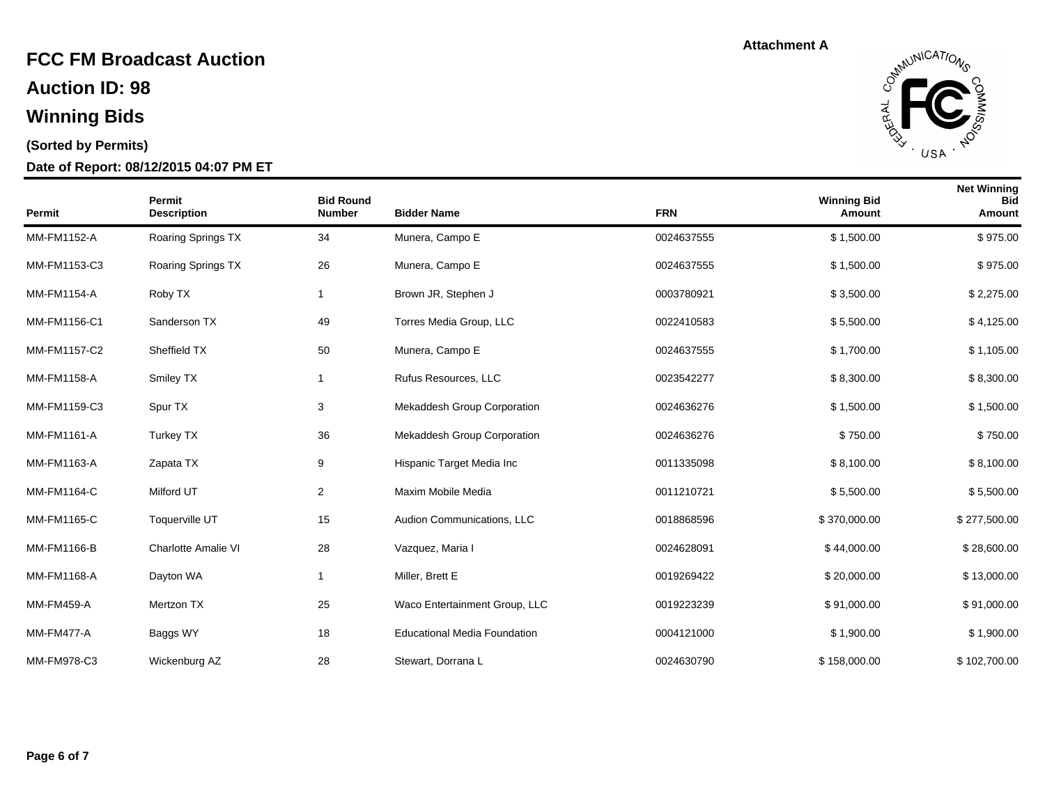**Auction ID: 98**

## **Winning Bids**

#### **(Sorted by Permits)**

#### **Date of Report: 08/12/2015 04:07 PM ET**



| Permit            | Permit<br><b>Description</b> | <b>Bid Round</b><br><b>Number</b> | <b>Bidder Name</b>                  | <b>FRN</b> | <b>Winning Bid</b><br>Amount | <b>Net Winning</b><br><b>Bid</b><br>Amount |
|-------------------|------------------------------|-----------------------------------|-------------------------------------|------------|------------------------------|--------------------------------------------|
| MM-FM1152-A       | Roaring Springs TX           | 34                                | Munera, Campo E                     | 0024637555 | \$1,500.00                   | \$975.00                                   |
| MM-FM1153-C3      | Roaring Springs TX           | 26                                | Munera, Campo E                     | 0024637555 | \$1,500.00                   | \$975.00                                   |
| MM-FM1154-A       | Roby TX                      | $\mathbf 1$                       | Brown JR, Stephen J                 | 0003780921 | \$3,500.00                   | \$2,275.00                                 |
| MM-FM1156-C1      | Sanderson TX                 | 49                                | Torres Media Group, LLC             | 0022410583 | \$5,500.00                   | \$4,125.00                                 |
| MM-FM1157-C2      | Sheffield TX                 | 50                                | Munera, Campo E                     | 0024637555 | \$1,700.00                   | \$1,105.00                                 |
| MM-FM1158-A       | Smiley TX                    | $\mathbf{1}$                      | Rufus Resources, LLC                | 0023542277 | \$8,300.00                   | \$8,300.00                                 |
| MM-FM1159-C3      | Spur TX                      | 3                                 | Mekaddesh Group Corporation         | 0024636276 | \$1,500.00                   | \$1,500.00                                 |
| MM-FM1161-A       | Turkey TX                    | 36                                | <b>Mekaddesh Group Corporation</b>  | 0024636276 | \$750.00                     | \$750.00                                   |
| MM-FM1163-A       | Zapata TX                    | 9                                 | Hispanic Target Media Inc           | 0011335098 | \$8,100.00                   | \$8,100.00                                 |
| MM-FM1164-C       | Milford UT                   | $\overline{c}$                    | Maxim Mobile Media                  | 0011210721 | \$5,500.00                   | \$5,500.00                                 |
| MM-FM1165-C       | Toquerville UT               | 15                                | Audion Communications, LLC          | 0018868596 | \$370,000.00                 | \$277,500.00                               |
| MM-FM1166-B       | <b>Charlotte Amalie VI</b>   | 28                                | Vazquez, Maria I                    | 0024628091 | \$44,000.00                  | \$28,600.00                                |
| MM-FM1168-A       | Dayton WA                    | $\overline{1}$                    | Miller, Brett E                     | 0019269422 | \$20,000.00                  | \$13,000.00                                |
| <b>MM-FM459-A</b> | Mertzon TX                   | 25                                | Waco Entertainment Group, LLC       | 0019223239 | \$91,000.00                  | \$91,000.00                                |
| <b>MM-FM477-A</b> | Baggs WY                     | 18                                | <b>Educational Media Foundation</b> | 0004121000 | \$1,900.00                   | \$1,900.00                                 |
| MM-FM978-C3       | Wickenburg AZ                | 28                                | Stewart, Dorrana L                  | 0024630790 | \$158,000.00                 | \$102,700.00                               |